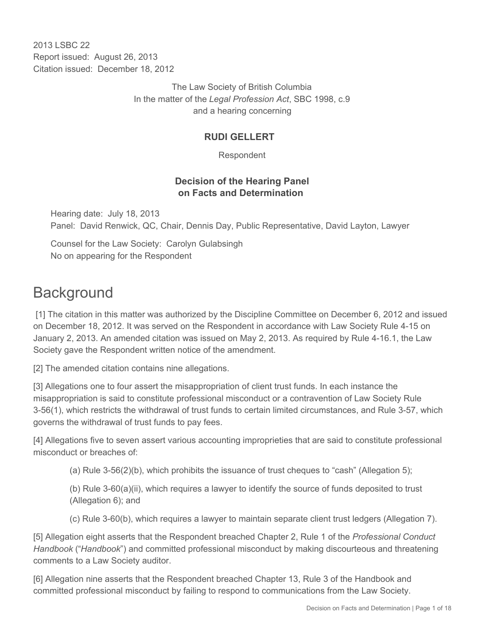2013 LSBC 22 Report issued: August 26, 2013 Citation issued: December 18, 2012

> The Law Society of British Columbia In the matter of the *Legal Profession Act*, SBC 1998, c.9 and a hearing concerning

## **RUDI GELLERT**

Respondent

## **Decision of the Hearing Panel on Facts and Determination**

Hearing date: July 18, 2013 Panel: David Renwick, QC, Chair, Dennis Day, Public Representative, David Layton, Lawyer

Counsel for the Law Society: Carolyn Gulabsingh No on appearing for the Respondent

# **Background**

 [1] The citation in this matter was authorized by the Discipline Committee on December 6, 2012 and issued on December 18, 2012. It was served on the Respondent in accordance with Law Society Rule 4-15 on January 2, 2013. An amended citation was issued on May 2, 2013. As required by Rule 4-16.1, the Law Society gave the Respondent written notice of the amendment.

[2] The amended citation contains nine allegations.

[3] Allegations one to four assert the misappropriation of client trust funds. In each instance the misappropriation is said to constitute professional misconduct or a contravention of Law Society Rule 3-56(1), which restricts the withdrawal of trust funds to certain limited circumstances, and Rule 3-57, which governs the withdrawal of trust funds to pay fees.

[4] Allegations five to seven assert various accounting improprieties that are said to constitute professional misconduct or breaches of:

(a) Rule 3-56(2)(b), which prohibits the issuance of trust cheques to "cash" (Allegation 5);

(b) Rule 3-60(a)(ii), which requires a lawyer to identify the source of funds deposited to trust (Allegation 6); and

(c) Rule 3-60(b), which requires a lawyer to maintain separate client trust ledgers (Allegation 7).

[5] Allegation eight asserts that the Respondent breached Chapter 2, Rule 1 of the *Professional Conduct Handbook* ("*Handbook*") and committed professional misconduct by making discourteous and threatening comments to a Law Society auditor.

[6] Allegation nine asserts that the Respondent breached Chapter 13, Rule 3 of the Handbook and committed professional misconduct by failing to respond to communications from the Law Society.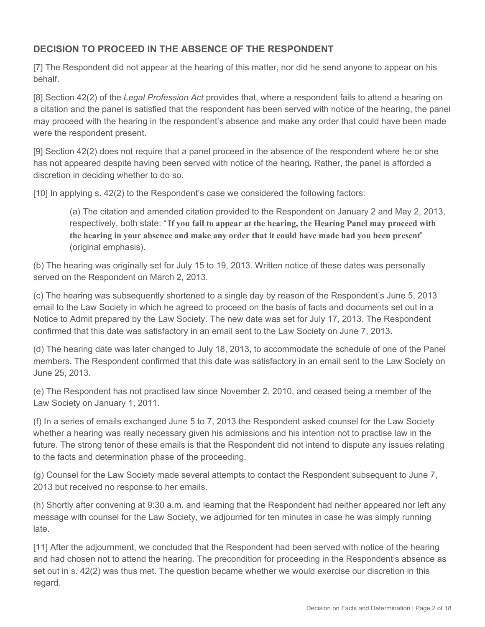# **DECISION TO PROCEED IN THE ABSENCE OF THE RESPONDENT**

[7] The Respondent did not appear at the hearing of this matter, nor did he send anyone to appear on his behalf.

[8] Section 42(2) of the *Legal Profession Act* provides that, where a respondent fails to attend a hearing on a citation and the panel is satisfied that the respondent has been served with notice of the hearing, the panel may proceed with the hearing in the respondent's absence and make any order that could have been made were the respondent present.

[9] Section 42(2) does not require that a panel proceed in the absence of the respondent where he or she has not appeared despite having been served with notice of the hearing. Rather, the panel is afforded a discretion in deciding whether to do so.

[10] In applying s. 42(2) to the Respondent's case we considered the following factors:

(a) The citation and amended citation provided to the Respondent on January 2 and May 2, 2013, respectively, both state: "**If you fail to appear at the hearing, the Hearing Panel may proceed with the hearing in your absence and make any order that it could have made had you been present**" (original emphasis).

(b) The hearing was originally set for July 15 to 19, 2013. Written notice of these dates was personally served on the Respondent on March 2, 2013.

(c) The hearing was subsequently shortened to a single day by reason of the Respondent's June 5, 2013 email to the Law Society in which he agreed to proceed on the basis of facts and documents set out in a Notice to Admit prepared by the Law Society. The new date was set for July 17, 2013. The Respondent confirmed that this date was satisfactory in an email sent to the Law Society on June 7, 2013.

(d) The hearing date was later changed to July 18, 2013, to accommodate the schedule of one of the Panel members. The Respondent confirmed that this date was satisfactory in an email sent to the Law Society on June 25, 2013.

(e) The Respondent has not practised law since November 2, 2010, and ceased being a member of the Law Society on January 1, 2011.

(f) In a series of emails exchanged June 5 to 7, 2013 the Respondent asked counsel for the Law Society whether a hearing was really necessary given his admissions and his intention not to practise law in the future. The strong tenor of these emails is that the Respondent did not intend to dispute any issues relating to the facts and determination phase of the proceeding.

(g) Counsel for the Law Society made several attempts to contact the Respondent subsequent to June 7, 2013 but received no response to her emails.

(h) Shortly after convening at 9:30 a.m. and learning that the Respondent had neither appeared nor left any message with counsel for the Law Society, we adjourned for ten minutes in case he was simply running late.

[11] After the adjournment, we concluded that the Respondent had been served with notice of the hearing and had chosen not to attend the hearing. The precondition for proceeding in the Respondent's absence as set out in s. 42(2) was thus met. The question became whether we would exercise our discretion in this regard.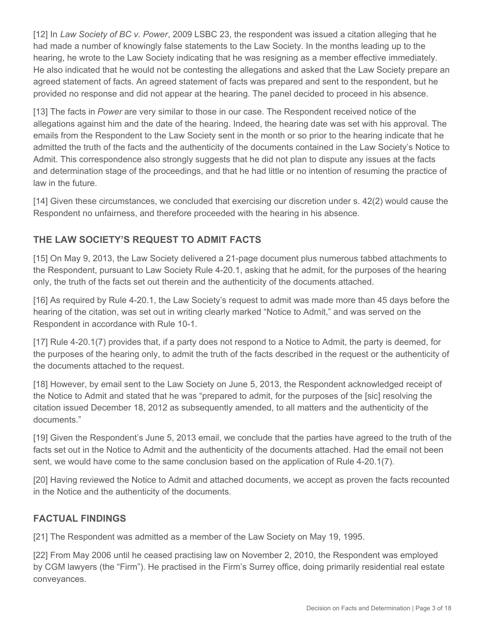[12] In *Law Society of BC v. Power*, 2009 LSBC 23, the respondent was issued a citation alleging that he had made a number of knowingly false statements to the Law Society. In the months leading up to the hearing, he wrote to the Law Society indicating that he was resigning as a member effective immediately. He also indicated that he would not be contesting the allegations and asked that the Law Society prepare an agreed statement of facts. An agreed statement of facts was prepared and sent to the respondent, but he provided no response and did not appear at the hearing. The panel decided to proceed in his absence.

[13] The facts in *Power* are very similar to those in our case. The Respondent received notice of the allegations against him and the date of the hearing. Indeed, the hearing date was set with his approval. The emails from the Respondent to the Law Society sent in the month or so prior to the hearing indicate that he admitted the truth of the facts and the authenticity of the documents contained in the Law Society's Notice to Admit. This correspondence also strongly suggests that he did not plan to dispute any issues at the facts and determination stage of the proceedings, and that he had little or no intention of resuming the practice of law in the future.

[14] Given these circumstances, we concluded that exercising our discretion under s. 42(2) would cause the Respondent no unfairness, and therefore proceeded with the hearing in his absence.

# **THE LAW SOCIETY'S REQUEST TO ADMIT FACTS**

[15] On May 9, 2013, the Law Society delivered a 21-page document plus numerous tabbed attachments to the Respondent, pursuant to Law Society Rule 4-20.1, asking that he admit, for the purposes of the hearing only, the truth of the facts set out therein and the authenticity of the documents attached.

[16] As required by Rule 4-20.1, the Law Society's request to admit was made more than 45 days before the hearing of the citation, was set out in writing clearly marked "Notice to Admit," and was served on the Respondent in accordance with Rule 10-1.

[17] Rule 4-20.1(7) provides that, if a party does not respond to a Notice to Admit, the party is deemed, for the purposes of the hearing only, to admit the truth of the facts described in the request or the authenticity of the documents attached to the request.

[18] However, by email sent to the Law Society on June 5, 2013, the Respondent acknowledged receipt of the Notice to Admit and stated that he was "prepared to admit, for the purposes of the [sic] resolving the citation issued December 18, 2012 as subsequently amended, to all matters and the authenticity of the documents."

[19] Given the Respondent's June 5, 2013 email, we conclude that the parties have agreed to the truth of the facts set out in the Notice to Admit and the authenticity of the documents attached. Had the email not been sent, we would have come to the same conclusion based on the application of Rule 4-20.1(7).

[20] Having reviewed the Notice to Admit and attached documents, we accept as proven the facts recounted in the Notice and the authenticity of the documents.

# **FACTUAL FINDINGS**

[21] The Respondent was admitted as a member of the Law Society on May 19, 1995.

[22] From May 2006 until he ceased practising law on November 2, 2010, the Respondent was employed by CGM lawyers (the "Firm"). He practised in the Firm's Surrey office, doing primarily residential real estate conveyances.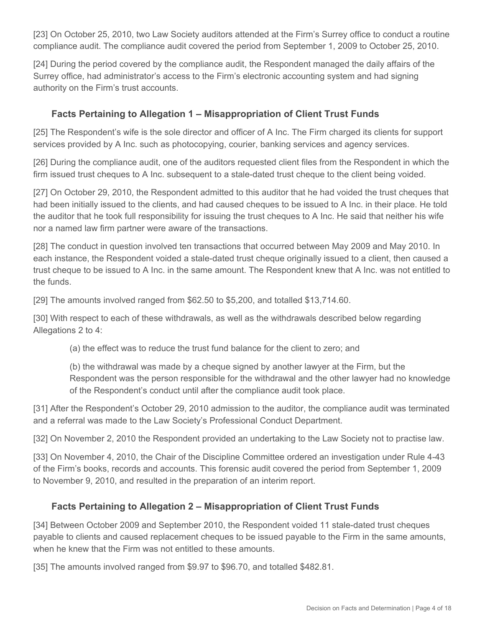[23] On October 25, 2010, two Law Society auditors attended at the Firm's Surrey office to conduct a routine compliance audit. The compliance audit covered the period from September 1, 2009 to October 25, 2010.

[24] During the period covered by the compliance audit, the Respondent managed the daily affairs of the Surrey office, had administrator's access to the Firm's electronic accounting system and had signing authority on the Firm's trust accounts.

### **Facts Pertaining to Allegation 1 – Misappropriation of Client Trust Funds**

[25] The Respondent's wife is the sole director and officer of A Inc. The Firm charged its clients for support services provided by A Inc. such as photocopying, courier, banking services and agency services.

[26] During the compliance audit, one of the auditors requested client files from the Respondent in which the firm issued trust cheques to A Inc. subsequent to a stale-dated trust cheque to the client being voided.

[27] On October 29, 2010, the Respondent admitted to this auditor that he had voided the trust cheques that had been initially issued to the clients, and had caused cheques to be issued to A Inc. in their place. He told the auditor that he took full responsibility for issuing the trust cheques to A Inc. He said that neither his wife nor a named law firm partner were aware of the transactions.

[28] The conduct in question involved ten transactions that occurred between May 2009 and May 2010. In each instance, the Respondent voided a stale-dated trust cheque originally issued to a client, then caused a trust cheque to be issued to A Inc. in the same amount. The Respondent knew that A Inc. was not entitled to the funds.

[29] The amounts involved ranged from \$62.50 to \$5,200, and totalled \$13,714.60.

[30] With respect to each of these withdrawals, as well as the withdrawals described below regarding Allegations 2 to 4:

(a) the effect was to reduce the trust fund balance for the client to zero; and

(b) the withdrawal was made by a cheque signed by another lawyer at the Firm, but the Respondent was the person responsible for the withdrawal and the other lawyer had no knowledge of the Respondent's conduct until after the compliance audit took place.

[31] After the Respondent's October 29, 2010 admission to the auditor, the compliance audit was terminated and a referral was made to the Law Society's Professional Conduct Department.

[32] On November 2, 2010 the Respondent provided an undertaking to the Law Society not to practise law.

[33] On November 4, 2010, the Chair of the Discipline Committee ordered an investigation under Rule 4-43 of the Firm's books, records and accounts. This forensic audit covered the period from September 1, 2009 to November 9, 2010, and resulted in the preparation of an interim report.

#### **Facts Pertaining to Allegation 2 – Misappropriation of Client Trust Funds**

[34] Between October 2009 and September 2010, the Respondent voided 11 stale-dated trust cheques payable to clients and caused replacement cheques to be issued payable to the Firm in the same amounts, when he knew that the Firm was not entitled to these amounts.

[35] The amounts involved ranged from \$9.97 to \$96.70, and totalled \$482.81.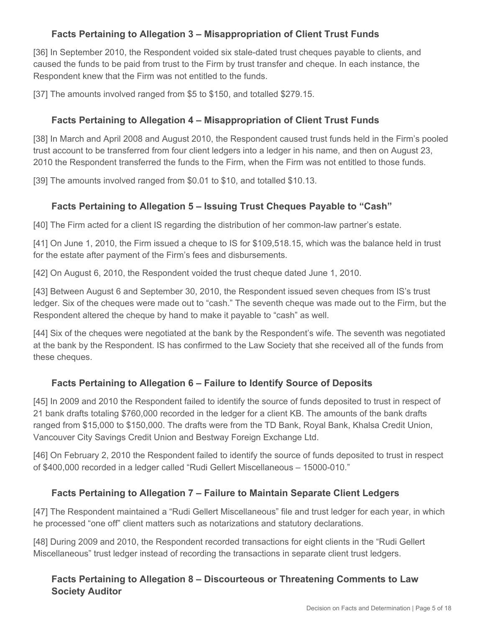# **Facts Pertaining to Allegation 3 – Misappropriation of Client Trust Funds**

[36] In September 2010, the Respondent voided six stale-dated trust cheques payable to clients, and caused the funds to be paid from trust to the Firm by trust transfer and cheque. In each instance, the Respondent knew that the Firm was not entitled to the funds.

[37] The amounts involved ranged from \$5 to \$150, and totalled \$279.15.

# **Facts Pertaining to Allegation 4 – Misappropriation of Client Trust Funds**

[38] In March and April 2008 and August 2010, the Respondent caused trust funds held in the Firm's pooled trust account to be transferred from four client ledgers into a ledger in his name, and then on August 23, 2010 the Respondent transferred the funds to the Firm, when the Firm was not entitled to those funds.

[39] The amounts involved ranged from \$0.01 to \$10, and totalled \$10.13.

# **Facts Pertaining to Allegation 5 – Issuing Trust Cheques Payable to "Cash"**

[40] The Firm acted for a client IS regarding the distribution of her common-law partner's estate.

[41] On June 1, 2010, the Firm issued a cheque to IS for \$109,518.15, which was the balance held in trust for the estate after payment of the Firm's fees and disbursements.

[42] On August 6, 2010, the Respondent voided the trust cheque dated June 1, 2010.

[43] Between August 6 and September 30, 2010, the Respondent issued seven cheques from IS's trust ledger. Six of the cheques were made out to "cash." The seventh cheque was made out to the Firm, but the Respondent altered the cheque by hand to make it payable to "cash" as well.

[44] Six of the cheques were negotiated at the bank by the Respondent's wife. The seventh was negotiated at the bank by the Respondent. IS has confirmed to the Law Society that she received all of the funds from these cheques.

# **Facts Pertaining to Allegation 6 – Failure to Identify Source of Deposits**

[45] In 2009 and 2010 the Respondent failed to identify the source of funds deposited to trust in respect of 21 bank drafts totaling \$760,000 recorded in the ledger for a client KB. The amounts of the bank drafts ranged from \$15,000 to \$150,000. The drafts were from the TD Bank, Royal Bank, Khalsa Credit Union, Vancouver City Savings Credit Union and Bestway Foreign Exchange Ltd.

[46] On February 2, 2010 the Respondent failed to identify the source of funds deposited to trust in respect of \$400,000 recorded in a ledger called "Rudi Gellert Miscellaneous – 15000-010."

# **Facts Pertaining to Allegation 7 – Failure to Maintain Separate Client Ledgers**

[47] The Respondent maintained a "Rudi Gellert Miscellaneous" file and trust ledger for each year, in which he processed "one off" client matters such as notarizations and statutory declarations.

[48] During 2009 and 2010, the Respondent recorded transactions for eight clients in the "Rudi Gellert Miscellaneous" trust ledger instead of recording the transactions in separate client trust ledgers.

## **Facts Pertaining to Allegation 8 – Discourteous or Threatening Comments to Law Society Auditor**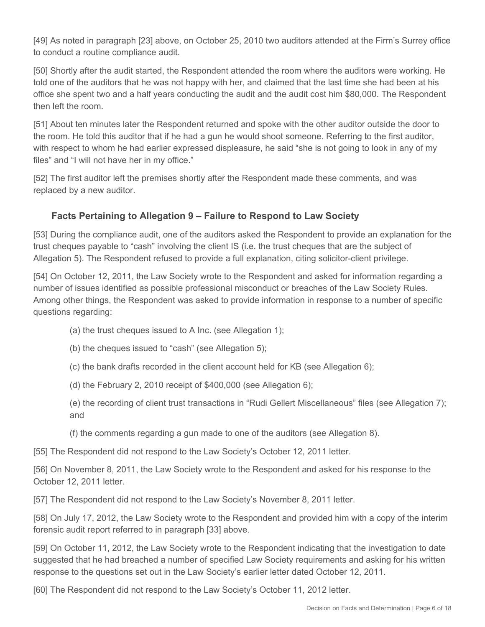[49] As noted in paragraph [23] above, on October 25, 2010 two auditors attended at the Firm's Surrey office to conduct a routine compliance audit.

[50] Shortly after the audit started, the Respondent attended the room where the auditors were working. He told one of the auditors that he was not happy with her, and claimed that the last time she had been at his office she spent two and a half years conducting the audit and the audit cost him \$80,000. The Respondent then left the room.

[51] About ten minutes later the Respondent returned and spoke with the other auditor outside the door to the room. He told this auditor that if he had a gun he would shoot someone. Referring to the first auditor, with respect to whom he had earlier expressed displeasure, he said "she is not going to look in any of my files" and "I will not have her in my office."

[52] The first auditor left the premises shortly after the Respondent made these comments, and was replaced by a new auditor.

# **Facts Pertaining to Allegation 9 – Failure to Respond to Law Society**

[53] During the compliance audit, one of the auditors asked the Respondent to provide an explanation for the trust cheques payable to "cash" involving the client IS (i.e. the trust cheques that are the subject of Allegation 5). The Respondent refused to provide a full explanation, citing solicitor-client privilege.

[54] On October 12, 2011, the Law Society wrote to the Respondent and asked for information regarding a number of issues identified as possible professional misconduct or breaches of the Law Society Rules. Among other things, the Respondent was asked to provide information in response to a number of specific questions regarding:

- (a) the trust cheques issued to A Inc. (see Allegation 1);
- (b) the cheques issued to "cash" (see Allegation 5);
- (c) the bank drafts recorded in the client account held for KB (see Allegation 6);
- (d) the February 2, 2010 receipt of \$400,000 (see Allegation 6);
- (e) the recording of client trust transactions in "Rudi Gellert Miscellaneous" files (see Allegation 7); and
- (f) the comments regarding a gun made to one of the auditors (see Allegation 8).

[55] The Respondent did not respond to the Law Society's October 12, 2011 letter.

[56] On November 8, 2011, the Law Society wrote to the Respondent and asked for his response to the October 12, 2011 letter.

[57] The Respondent did not respond to the Law Society's November 8, 2011 letter.

[58] On July 17, 2012, the Law Society wrote to the Respondent and provided him with a copy of the interim forensic audit report referred to in paragraph [33] above.

[59] On October 11, 2012, the Law Society wrote to the Respondent indicating that the investigation to date suggested that he had breached a number of specified Law Society requirements and asking for his written response to the questions set out in the Law Society's earlier letter dated October 12, 2011.

[60] The Respondent did not respond to the Law Society's October 11, 2012 letter.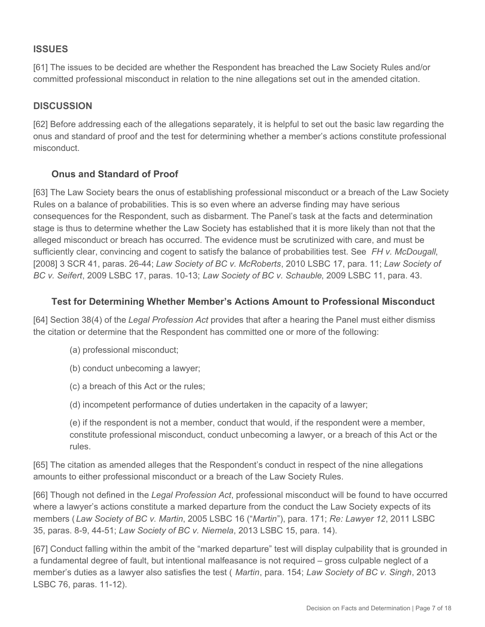## **ISSUES**

[61] The issues to be decided are whether the Respondent has breached the Law Society Rules and/or committed professional misconduct in relation to the nine allegations set out in the amended citation.

## **DISCUSSION**

[62] Before addressing each of the allegations separately, it is helpful to set out the basic law regarding the onus and standard of proof and the test for determining whether a member's actions constitute professional misconduct.

## **Onus and Standard of Proof**

[63] The Law Society bears the onus of establishing professional misconduct or a breach of the Law Society Rules on a balance of probabilities. This is so even where an adverse finding may have serious consequences for the Respondent, such as disbarment. The Panel's task at the facts and determination stage is thus to determine whether the Law Society has established that it is more likely than not that the alleged misconduct or breach has occurred. The evidence must be scrutinized with care, and must be sufficiently clear, convincing and cogent to satisfy the balance of probabilities test. See *FH v. McDougall*, [2008] 3 SCR 41, paras. 26-44; *Law Society of BC v. McRoberts*, 2010 LSBC 17, para. 11; *Law Society of BC v. Seifert*, 2009 LSBC 17, paras. 10-13; *Law Society of BC v. Schauble*, 2009 LSBC 11, para. 43.

#### **Test for Determining Whether Member's Actions Amount to Professional Misconduct**

[64] Section 38(4) of the *Legal Profession Act* provides that after a hearing the Panel must either dismiss the citation or determine that the Respondent has committed one or more of the following:

- (a) professional misconduct;
- (b) conduct unbecoming a lawyer;
- (c) a breach of this Act or the rules;
- (d) incompetent performance of duties undertaken in the capacity of a lawyer;

(e) if the respondent is not a member, conduct that would, if the respondent were a member, constitute professional misconduct, conduct unbecoming a lawyer, or a breach of this Act or the rules.

[65] The citation as amended alleges that the Respondent's conduct in respect of the nine allegations amounts to either professional misconduct or a breach of the Law Society Rules.

[66] Though not defined in the *Legal Profession Act*, professional misconduct will be found to have occurred where a lawyer's actions constitute a marked departure from the conduct the Law Society expects of its members (*Law Society of BC v. Martin*, 2005 LSBC 16 ("*Martin*"), para. 171; *Re: Lawyer 12*, 2011 LSBC 35, paras. 8-9, 44-51; *Law Society of BC v. Niemela*, 2013 LSBC 15, para. 14).

[67] Conduct falling within the ambit of the "marked departure" test will display culpability that is grounded in a fundamental degree of fault, but intentional malfeasance is not required – gross culpable neglect of a member's duties as a lawyer also satisfies the test ( *Martin*, para. 154; *Law Society of BC v. Singh*, 2013 LSBC 76, paras. 11-12).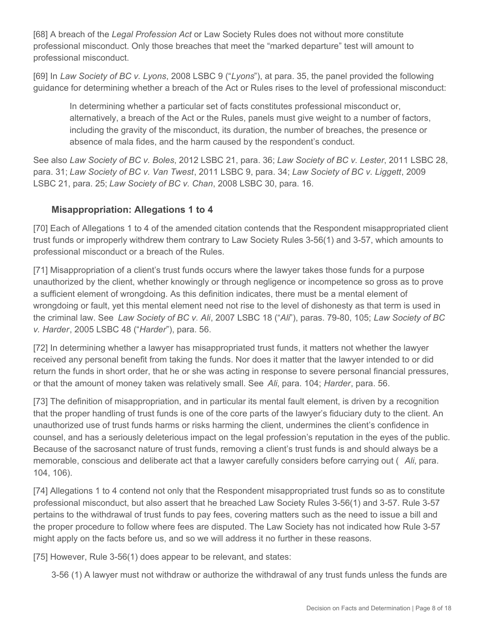[68] A breach of the *Legal Profession Act* or Law Society Rules does not without more constitute professional misconduct. Only those breaches that meet the "marked departure" test will amount to professional misconduct.

[69] In *Law Society of BC v. Lyons*, 2008 LSBC 9 ("*Lyons*"), at para. 35, the panel provided the following guidance for determining whether a breach of the Act or Rules rises to the level of professional misconduct:

In determining whether a particular set of facts constitutes professional misconduct or, alternatively, a breach of the Act or the Rules, panels must give weight to a number of factors, including the gravity of the misconduct, its duration, the number of breaches, the presence or absence of mala fides, and the harm caused by the respondent's conduct.

See also *Law Society of BC v. Boles*, 2012 LSBC 21, para. 36; *Law Society of BC v. Lester*, 2011 LSBC 28, para. 31; *Law Society of BC v. Van Twest*, 2011 LSBC 9, para. 34; *Law Society of BC v. Liggett*, 2009 LSBC 21, para. 25; *Law Society of BC v. Chan*, 2008 LSBC 30, para. 16.

#### **Misappropriation: Allegations 1 to 4**

[70] Each of Allegations 1 to 4 of the amended citation contends that the Respondent misappropriated client trust funds or improperly withdrew them contrary to Law Society Rules 3-56(1) and 3-57, which amounts to professional misconduct or a breach of the Rules.

[71] Misappropriation of a client's trust funds occurs where the lawyer takes those funds for a purpose unauthorized by the client, whether knowingly or through negligence or incompetence so gross as to prove a sufficient element of wrongdoing. As this definition indicates, there must be a mental element of wrongdoing or fault, yet this mental element need not rise to the level of dishonesty as that term is used in the criminal law. See *Law Society of BC v. Ali*, 2007 LSBC 18 ("*Ali*"), paras. 79-80, 105; *Law Society of BC v. Harder*, 2005 LSBC 48 ("*Harder*"), para. 56.

[72] In determining whether a lawyer has misappropriated trust funds, it matters not whether the lawyer received any personal benefit from taking the funds. Nor does it matter that the lawyer intended to or did return the funds in short order, that he or she was acting in response to severe personal financial pressures, or that the amount of money taken was relatively small. See *Ali*, para. 104; *Harder*, para. 56.

[73] The definition of misappropriation, and in particular its mental fault element, is driven by a recognition that the proper handling of trust funds is one of the core parts of the lawyer's fiduciary duty to the client. An unauthorized use of trust funds harms or risks harming the client, undermines the client's confidence in counsel, and has a seriously deleterious impact on the legal profession's reputation in the eyes of the public. Because of the sacrosanct nature of trust funds, removing a client's trust funds is and should always be a memorable, conscious and deliberate act that a lawyer carefully considers before carrying out ( *Ali*, para. 104, 106).

[74] Allegations 1 to 4 contend not only that the Respondent misappropriated trust funds so as to constitute professional misconduct, but also assert that he breached Law Society Rules 3-56(1) and 3-57. Rule 3-57 pertains to the withdrawal of trust funds to pay fees, covering matters such as the need to issue a bill and the proper procedure to follow where fees are disputed. The Law Society has not indicated how Rule 3-57 might apply on the facts before us, and so we will address it no further in these reasons.

[75] However, Rule 3-56(1) does appear to be relevant, and states:

3-56 (1) A lawyer must not withdraw or authorize the withdrawal of any trust funds unless the funds are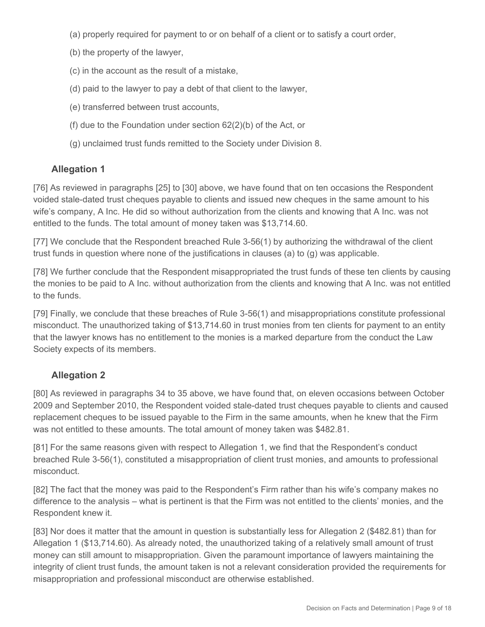- (a) properly required for payment to or on behalf of a client or to satisfy a court order,
- (b) the property of the lawyer,
- (c) in the account as the result of a mistake,
- (d) paid to the lawyer to pay a debt of that client to the lawyer,
- (e) transferred between trust accounts,
- (f) due to the Foundation under section 62(2)(b) of the Act, or
- (g) unclaimed trust funds remitted to the Society under Division 8.

# **Allegation 1**

[76] As reviewed in paragraphs [25] to [30] above, we have found that on ten occasions the Respondent voided stale-dated trust cheques payable to clients and issued new cheques in the same amount to his wife's company, A Inc. He did so without authorization from the clients and knowing that A Inc. was not entitled to the funds. The total amount of money taken was \$13,714.60.

[77] We conclude that the Respondent breached Rule 3-56(1) by authorizing the withdrawal of the client trust funds in question where none of the justifications in clauses (a) to (g) was applicable.

[78] We further conclude that the Respondent misappropriated the trust funds of these ten clients by causing the monies to be paid to A Inc. without authorization from the clients and knowing that A Inc. was not entitled to the funds.

[79] Finally, we conclude that these breaches of Rule 3-56(1) and misappropriations constitute professional misconduct. The unauthorized taking of \$13,714.60 in trust monies from ten clients for payment to an entity that the lawyer knows has no entitlement to the monies is a marked departure from the conduct the Law Society expects of its members.

# **Allegation 2**

[80] As reviewed in paragraphs 34 to 35 above, we have found that, on eleven occasions between October 2009 and September 2010, the Respondent voided stale-dated trust cheques payable to clients and caused replacement cheques to be issued payable to the Firm in the same amounts, when he knew that the Firm was not entitled to these amounts. The total amount of money taken was \$482.81.

[81] For the same reasons given with respect to Allegation 1, we find that the Respondent's conduct breached Rule 3-56(1), constituted a misappropriation of client trust monies, and amounts to professional misconduct.

[82] The fact that the money was paid to the Respondent's Firm rather than his wife's company makes no difference to the analysis – what is pertinent is that the Firm was not entitled to the clients' monies, and the Respondent knew it.

[83] Nor does it matter that the amount in question is substantially less for Allegation 2 (\$482.81) than for Allegation 1 (\$13,714.60). As already noted, the unauthorized taking of a relatively small amount of trust money can still amount to misappropriation. Given the paramount importance of lawyers maintaining the integrity of client trust funds, the amount taken is not a relevant consideration provided the requirements for misappropriation and professional misconduct are otherwise established.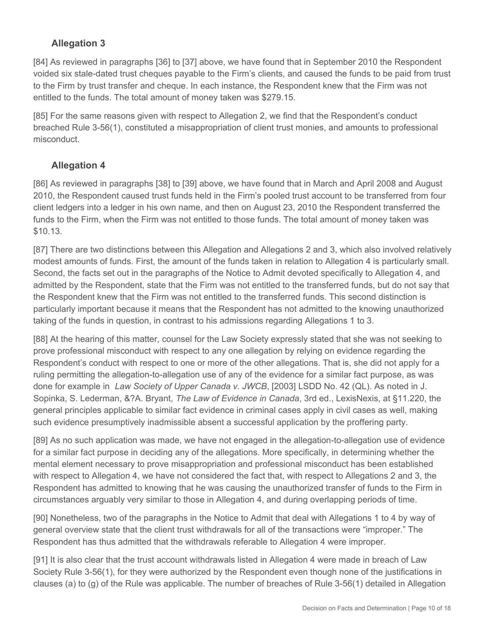# **Allegation 3**

[84] As reviewed in paragraphs [36] to [37] above, we have found that in September 2010 the Respondent voided six stale-dated trust cheques payable to the Firm's clients, and caused the funds to be paid from trust to the Firm by trust transfer and cheque. In each instance, the Respondent knew that the Firm was not entitled to the funds. The total amount of money taken was \$279.15.

[85] For the same reasons given with respect to Allegation 2, we find that the Respondent's conduct breached Rule 3-56(1), constituted a misappropriation of client trust monies, and amounts to professional misconduct.

## **Allegation 4**

[86] As reviewed in paragraphs [38] to [39] above, we have found that in March and April 2008 and August 2010, the Respondent caused trust funds held in the Firm's pooled trust account to be transferred from four client ledgers into a ledger in his own name, and then on August 23, 2010 the Respondent transferred the funds to the Firm, when the Firm was not entitled to those funds. The total amount of money taken was \$10.13.

[87] There are two distinctions between this Allegation and Allegations 2 and 3, which also involved relatively modest amounts of funds. First, the amount of the funds taken in relation to Allegation 4 is particularly small. Second, the facts set out in the paragraphs of the Notice to Admit devoted specifically to Allegation 4, and admitted by the Respondent, state that the Firm was not entitled to the transferred funds, but do not say that the Respondent knew that the Firm was not entitled to the transferred funds. This second distinction is particularly important because it means that the Respondent has not admitted to the knowing unauthorized taking of the funds in question, in contrast to his admissions regarding Allegations 1 to 3.

[88] At the hearing of this matter, counsel for the Law Society expressly stated that she was not seeking to prove professional misconduct with respect to any one allegation by relying on evidence regarding the Respondent's conduct with respect to one or more of the other allegations. That is, she did not apply for a ruling permitting the allegation-to-allegation use of any of the evidence for a similar fact purpose, as was done for example in *Law Society of Upper Canada v. JWCB*, [2003] LSDD No. 42 (QL). As noted in J. Sopinka, S. Lederman, &?A. Bryant, *The Law of Evidence in Canada*, 3rd ed., LexisNexis, at §11.220, the general principles applicable to similar fact evidence in criminal cases apply in civil cases as well, making such evidence presumptively inadmissible absent a successful application by the proffering party.

[89] As no such application was made, we have not engaged in the allegation-to-allegation use of evidence for a similar fact purpose in deciding any of the allegations. More specifically, in determining whether the mental element necessary to prove misappropriation and professional misconduct has been established with respect to Allegation 4, we have not considered the fact that, with respect to Allegations 2 and 3, the Respondent has admitted to knowing that he was causing the unauthorized transfer of funds to the Firm in circumstances arguably very similar to those in Allegation 4, and during overlapping periods of time.

[90] Nonetheless, two of the paragraphs in the Notice to Admit that deal with Allegations 1 to 4 by way of general overview state that the client trust withdrawals for all of the transactions were "improper." The Respondent has thus admitted that the withdrawals referable to Allegation 4 were improper.

[91] It is also clear that the trust account withdrawals listed in Allegation 4 were made in breach of Law Society Rule 3-56(1), for they were authorized by the Respondent even though none of the justifications in clauses (a) to (g) of the Rule was applicable. The number of breaches of Rule 3-56(1) detailed in Allegation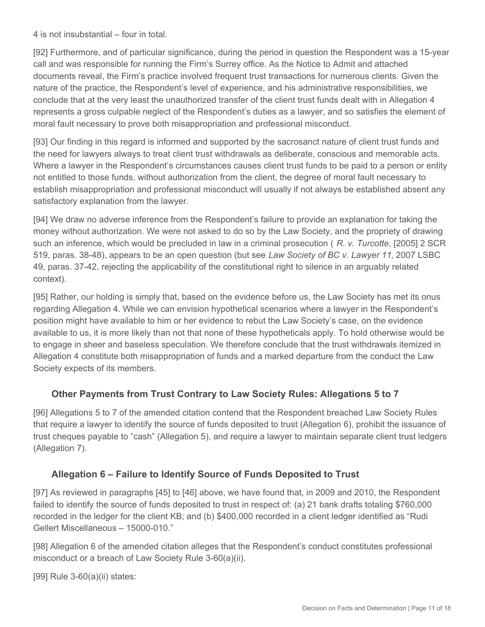4 is not insubstantial – four in total.

[92] Furthermore, and of particular significance, during the period in question the Respondent was a 15-year call and was responsible for running the Firm's Surrey office. As the Notice to Admit and attached documents reveal, the Firm's practice involved frequent trust transactions for numerous clients. Given the nature of the practice, the Respondent's level of experience, and his administrative responsibilities, we conclude that at the very least the unauthorized transfer of the client trust funds dealt with in Allegation 4 represents a gross culpable neglect of the Respondent's duties as a lawyer, and so satisfies the element of moral fault necessary to prove both misappropriation and professional misconduct.

[93] Our finding in this regard is informed and supported by the sacrosanct nature of client trust funds and the need for lawyers always to treat client trust withdrawals as deliberate, conscious and memorable acts. Where a lawyer in the Respondent's circumstances causes client trust funds to be paid to a person or entity not entitled to those funds, without authorization from the client, the degree of moral fault necessary to establish misappropriation and professional misconduct will usually if not always be established absent any satisfactory explanation from the lawyer.

[94] We draw no adverse inference from the Respondent's failure to provide an explanation for taking the money without authorization. We were not asked to do so by the Law Society, and the propriety of drawing such an inference, which would be precluded in law in a criminal prosecution ( *R. v. Turcotte*, [2005] 2 SCR 519, paras. 38-48), appears to be an open question (but see *Law Society of BC v. Lawyer 11*, 2007 LSBC 49, paras. 37-42, rejecting the applicability of the constitutional right to silence in an arguably related context).

[95] Rather, our holding is simply that, based on the evidence before us, the Law Society has met its onus regarding Allegation 4. While we can envision hypothetical scenarios where a lawyer in the Respondent's position might have available to him or her evidence to rebut the Law Society's case, on the evidence available to us, it is more likely than not that none of these hypotheticals apply. To hold otherwise would be to engage in sheer and baseless speculation. We therefore conclude that the trust withdrawals itemized in Allegation 4 constitute both misappropriation of funds and a marked departure from the conduct the Law Society expects of its members.

## **Other Payments from Trust Contrary to Law Society Rules: Allegations 5 to 7**

[96] Allegations 5 to 7 of the amended citation contend that the Respondent breached Law Society Rules that require a lawyer to identify the source of funds deposited to trust (Allegation 6), prohibit the issuance of trust cheques payable to "cash" (Allegation 5), and require a lawyer to maintain separate client trust ledgers (Allegation 7).

#### **Allegation 6 – Failure to Identify Source of Funds Deposited to Trust**

[97] As reviewed in paragraphs [45] to [46] above, we have found that, in 2009 and 2010, the Respondent failed to identify the source of funds deposited to trust in respect of: (a) 21 bank drafts totaling \$760,000 recorded in the ledger for the client KB; and (b) \$400,000 recorded in a client ledger identified as "Rudi Gellert Miscellaneous – 15000-010."

[98] Allegation 6 of the amended citation alleges that the Respondent's conduct constitutes professional misconduct or a breach of Law Society Rule 3-60(a)(ii).

[99] Rule 3-60(a)(ii) states: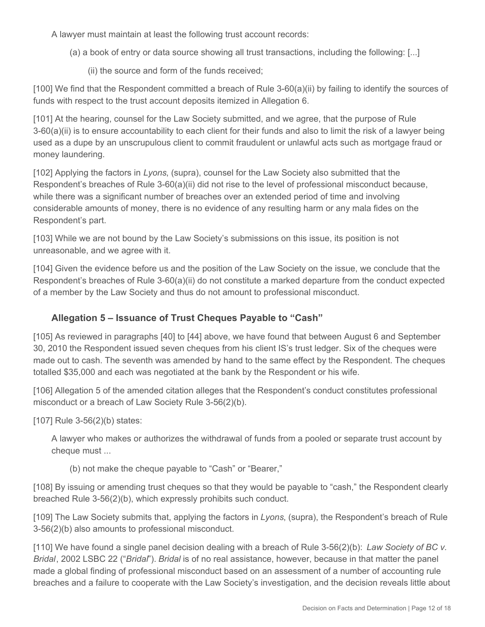A lawyer must maintain at least the following trust account records:

- (a) a book of entry or data source showing all trust transactions, including the following: [...]
	- (ii) the source and form of the funds received;

[100] We find that the Respondent committed a breach of Rule 3-60(a)(ii) by failing to identify the sources of funds with respect to the trust account deposits itemized in Allegation 6.

[101] At the hearing, counsel for the Law Society submitted, and we agree, that the purpose of Rule 3-60(a)(ii) is to ensure accountability to each client for their funds and also to limit the risk of a lawyer being used as a dupe by an unscrupulous client to commit fraudulent or unlawful acts such as mortgage fraud or money laundering.

[102] Applying the factors in *Lyons*, (supra), counsel for the Law Society also submitted that the Respondent's breaches of Rule 3-60(a)(ii) did not rise to the level of professional misconduct because, while there was a significant number of breaches over an extended period of time and involving considerable amounts of money, there is no evidence of any resulting harm or any mala fides on the Respondent's part.

[103] While we are not bound by the Law Society's submissions on this issue, its position is not unreasonable, and we agree with it.

[104] Given the evidence before us and the position of the Law Society on the issue, we conclude that the Respondent's breaches of Rule 3-60(a)(ii) do not constitute a marked departure from the conduct expected of a member by the Law Society and thus do not amount to professional misconduct.

## **Allegation 5 – Issuance of Trust Cheques Payable to "Cash"**

[105] As reviewed in paragraphs [40] to [44] above, we have found that between August 6 and September 30, 2010 the Respondent issued seven cheques from his client IS's trust ledger. Six of the cheques were made out to cash. The seventh was amended by hand to the same effect by the Respondent. The cheques totalled \$35,000 and each was negotiated at the bank by the Respondent or his wife.

[106] Allegation 5 of the amended citation alleges that the Respondent's conduct constitutes professional misconduct or a breach of Law Society Rule 3-56(2)(b).

[107] Rule 3-56(2)(b) states:

A lawyer who makes or authorizes the withdrawal of funds from a pooled or separate trust account by cheque must ...

(b) not make the cheque payable to "Cash" or "Bearer,"

[108] By issuing or amending trust cheques so that they would be payable to "cash," the Respondent clearly breached Rule 3-56(2)(b), which expressly prohibits such conduct.

[109] The Law Society submits that, applying the factors in *Lyons*, (supra), the Respondent's breach of Rule 3-56(2)(b) also amounts to professional misconduct.

[110] We have found a single panel decision dealing with a breach of Rule 3-56(2)(b): *Law Society of BC v. Bridal*, 2002 LSBC 22 ("*Bridal*"). *Bridal* is of no real assistance, however, because in that matter the panel made a global finding of professional misconduct based on an assessment of a number of accounting rule breaches and a failure to cooperate with the Law Society's investigation, and the decision reveals little about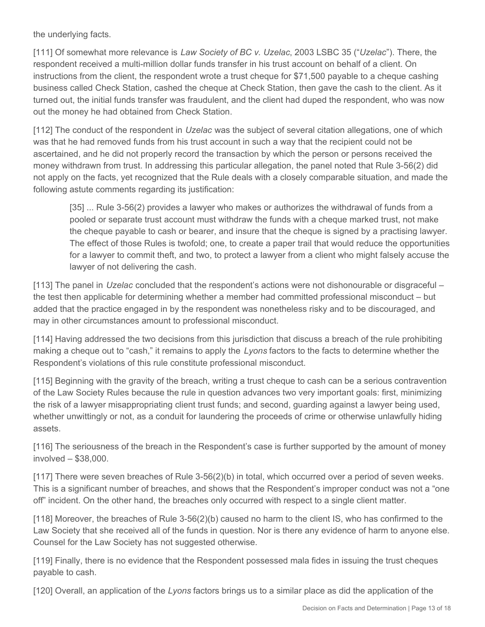the underlying facts.

[111] Of somewhat more relevance is *Law Society of BC v. Uzelac*, 2003 LSBC 35 ("*Uzelac*"). There, the respondent received a multi-million dollar funds transfer in his trust account on behalf of a client. On instructions from the client, the respondent wrote a trust cheque for \$71,500 payable to a cheque cashing business called Check Station, cashed the cheque at Check Station, then gave the cash to the client. As it turned out, the initial funds transfer was fraudulent, and the client had duped the respondent, who was now out the money he had obtained from Check Station.

[112] The conduct of the respondent in *Uzelac* was the subject of several citation allegations, one of which was that he had removed funds from his trust account in such a way that the recipient could not be ascertained, and he did not properly record the transaction by which the person or persons received the money withdrawn from trust. In addressing this particular allegation, the panel noted that Rule 3-56(2) did not apply on the facts, yet recognized that the Rule deals with a closely comparable situation, and made the following astute comments regarding its justification:

[35] ... Rule 3-56(2) provides a lawyer who makes or authorizes the withdrawal of funds from a pooled or separate trust account must withdraw the funds with a cheque marked trust, not make the cheque payable to cash or bearer, and insure that the cheque is signed by a practising lawyer. The effect of those Rules is twofold; one, to create a paper trail that would reduce the opportunities for a lawyer to commit theft, and two, to protect a lawyer from a client who might falsely accuse the lawyer of not delivering the cash.

[113] The panel in *Uzelac* concluded that the respondent's actions were not dishonourable or disgraceful – the test then applicable for determining whether a member had committed professional misconduct – but added that the practice engaged in by the respondent was nonetheless risky and to be discouraged, and may in other circumstances amount to professional misconduct.

[114] Having addressed the two decisions from this jurisdiction that discuss a breach of the rule prohibiting making a cheque out to "cash," it remains to apply the *Lyons* factors to the facts to determine whether the Respondent's violations of this rule constitute professional misconduct.

[115] Beginning with the gravity of the breach, writing a trust cheque to cash can be a serious contravention of the Law Society Rules because the rule in question advances two very important goals: first, minimizing the risk of a lawyer misappropriating client trust funds; and second, guarding against a lawyer being used, whether unwittingly or not, as a conduit for laundering the proceeds of crime or otherwise unlawfully hiding assets.

[116] The seriousness of the breach in the Respondent's case is further supported by the amount of money involved – \$38,000.

[117] There were seven breaches of Rule 3-56(2)(b) in total, which occurred over a period of seven weeks. This is a significant number of breaches, and shows that the Respondent's improper conduct was not a "one off" incident. On the other hand, the breaches only occurred with respect to a single client matter.

[118] Moreover, the breaches of Rule 3-56(2)(b) caused no harm to the client IS, who has confirmed to the Law Society that she received all of the funds in question. Nor is there any evidence of harm to anyone else. Counsel for the Law Society has not suggested otherwise.

[119] Finally, there is no evidence that the Respondent possessed mala fides in issuing the trust cheques payable to cash.

[120] Overall, an application of the *Lyons* factors brings us to a similar place as did the application of the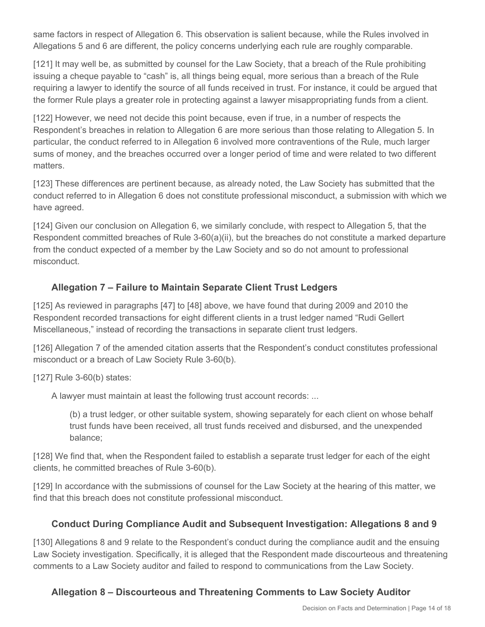same factors in respect of Allegation 6. This observation is salient because, while the Rules involved in Allegations 5 and 6 are different, the policy concerns underlying each rule are roughly comparable.

[121] It may well be, as submitted by counsel for the Law Society, that a breach of the Rule prohibiting issuing a cheque payable to "cash" is, all things being equal, more serious than a breach of the Rule requiring a lawyer to identify the source of all funds received in trust. For instance, it could be argued that the former Rule plays a greater role in protecting against a lawyer misappropriating funds from a client.

[122] However, we need not decide this point because, even if true, in a number of respects the Respondent's breaches in relation to Allegation 6 are more serious than those relating to Allegation 5. In particular, the conduct referred to in Allegation 6 involved more contraventions of the Rule, much larger sums of money, and the breaches occurred over a longer period of time and were related to two different matters.

[123] These differences are pertinent because, as already noted, the Law Society has submitted that the conduct referred to in Allegation 6 does not constitute professional misconduct, a submission with which we have agreed.

[124] Given our conclusion on Allegation 6, we similarly conclude, with respect to Allegation 5, that the Respondent committed breaches of Rule 3-60(a)(ii), but the breaches do not constitute a marked departure from the conduct expected of a member by the Law Society and so do not amount to professional misconduct.

## **Allegation 7 – Failure to Maintain Separate Client Trust Ledgers**

[125] As reviewed in paragraphs [47] to [48] above, we have found that during 2009 and 2010 the Respondent recorded transactions for eight different clients in a trust ledger named "Rudi Gellert Miscellaneous," instead of recording the transactions in separate client trust ledgers.

[126] Allegation 7 of the amended citation asserts that the Respondent's conduct constitutes professional misconduct or a breach of Law Society Rule 3-60(b).

[127] Rule 3-60(b) states:

A lawyer must maintain at least the following trust account records: ...

(b) a trust ledger, or other suitable system, showing separately for each client on whose behalf trust funds have been received, all trust funds received and disbursed, and the unexpended balance;

[128] We find that, when the Respondent failed to establish a separate trust ledger for each of the eight clients, he committed breaches of Rule 3-60(b).

[129] In accordance with the submissions of counsel for the Law Society at the hearing of this matter, we find that this breach does not constitute professional misconduct.

## **Conduct During Compliance Audit and Subsequent Investigation: Allegations 8 and 9**

[130] Allegations 8 and 9 relate to the Respondent's conduct during the compliance audit and the ensuing Law Society investigation. Specifically, it is alleged that the Respondent made discourteous and threatening comments to a Law Society auditor and failed to respond to communications from the Law Society.

# **Allegation 8 – Discourteous and Threatening Comments to Law Society Auditor**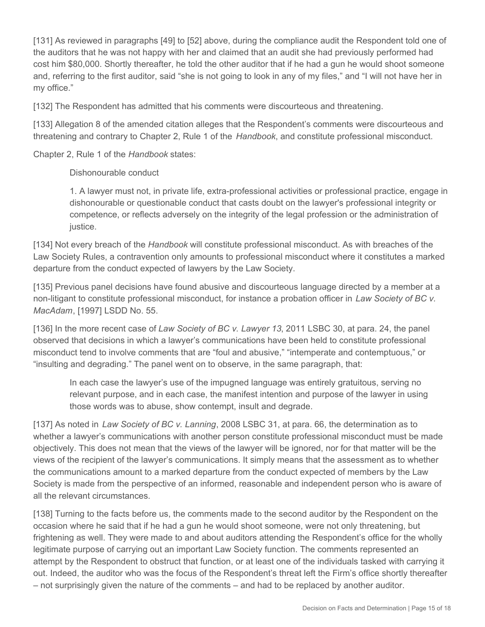[131] As reviewed in paragraphs [49] to [52] above, during the compliance audit the Respondent told one of the auditors that he was not happy with her and claimed that an audit she had previously performed had cost him \$80,000. Shortly thereafter, he told the other auditor that if he had a gun he would shoot someone and, referring to the first auditor, said "she is not going to look in any of my files," and "I will not have her in my office."

[132] The Respondent has admitted that his comments were discourteous and threatening.

[133] Allegation 8 of the amended citation alleges that the Respondent's comments were discourteous and threatening and contrary to Chapter 2, Rule 1 of the *Handbook*, and constitute professional misconduct.

Chapter 2, Rule 1 of the *Handbook* states:

Dishonourable conduct

1. A lawyer must not, in private life, extra-professional activities or professional practice, engage in dishonourable or questionable conduct that casts doubt on the lawyer's professional integrity or competence, or reflects adversely on the integrity of the legal profession or the administration of justice.

[134] Not every breach of the *Handbook* will constitute professional misconduct. As with breaches of the Law Society Rules, a contravention only amounts to professional misconduct where it constitutes a marked departure from the conduct expected of lawyers by the Law Society.

[135] Previous panel decisions have found abusive and discourteous language directed by a member at a non-litigant to constitute professional misconduct, for instance a probation officer in *Law Society of BC v. MacAdam*, [1997] LSDD No. 55.

[136] In the more recent case of *Law Society of BC v. Lawyer 13*, 2011 LSBC 30, at para. 24, the panel observed that decisions in which a lawyer's communications have been held to constitute professional misconduct tend to involve comments that are "foul and abusive," "intemperate and contemptuous," or "insulting and degrading." The panel went on to observe, in the same paragraph, that:

In each case the lawyer's use of the impugned language was entirely gratuitous, serving no relevant purpose, and in each case, the manifest intention and purpose of the lawyer in using those words was to abuse, show contempt, insult and degrade.

[137] As noted in *Law Society of BC v. Lanning*, 2008 LSBC 31, at para. 66, the determination as to whether a lawyer's communications with another person constitute professional misconduct must be made objectively. This does not mean that the views of the lawyer will be ignored, nor for that matter will be the views of the recipient of the lawyer's communications. It simply means that the assessment as to whether the communications amount to a marked departure from the conduct expected of members by the Law Society is made from the perspective of an informed, reasonable and independent person who is aware of all the relevant circumstances.

[138] Turning to the facts before us, the comments made to the second auditor by the Respondent on the occasion where he said that if he had a gun he would shoot someone, were not only threatening, but frightening as well. They were made to and about auditors attending the Respondent's office for the wholly legitimate purpose of carrying out an important Law Society function. The comments represented an attempt by the Respondent to obstruct that function, or at least one of the individuals tasked with carrying it out. Indeed, the auditor who was the focus of the Respondent's threat left the Firm's office shortly thereafter – not surprisingly given the nature of the comments – and had to be replaced by another auditor.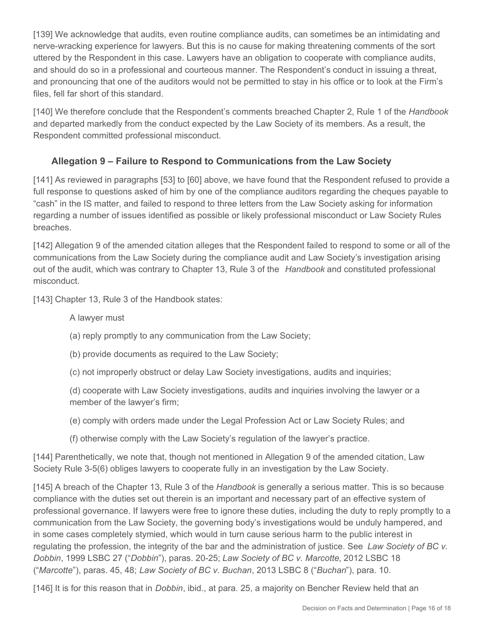[139] We acknowledge that audits, even routine compliance audits, can sometimes be an intimidating and nerve-wracking experience for lawyers. But this is no cause for making threatening comments of the sort uttered by the Respondent in this case. Lawyers have an obligation to cooperate with compliance audits, and should do so in a professional and courteous manner. The Respondent's conduct in issuing a threat, and pronouncing that one of the auditors would not be permitted to stay in his office or to look at the Firm's files, fell far short of this standard.

[140] We therefore conclude that the Respondent's comments breached Chapter 2, Rule 1 of the *Handbook*  and departed markedly from the conduct expected by the Law Society of its members. As a result, the Respondent committed professional misconduct.

## **Allegation 9 – Failure to Respond to Communications from the Law Society**

[141] As reviewed in paragraphs [53] to [60] above, we have found that the Respondent refused to provide a full response to questions asked of him by one of the compliance auditors regarding the cheques payable to "cash" in the IS matter, and failed to respond to three letters from the Law Society asking for information regarding a number of issues identified as possible or likely professional misconduct or Law Society Rules breaches.

[142] Allegation 9 of the amended citation alleges that the Respondent failed to respond to some or all of the communications from the Law Society during the compliance audit and Law Society's investigation arising out of the audit, which was contrary to Chapter 13, Rule 3 of the *Handbook* and constituted professional misconduct.

[143] Chapter 13, Rule 3 of the Handbook states:

#### A lawyer must

- (a) reply promptly to any communication from the Law Society;
- (b) provide documents as required to the Law Society;
- (c) not improperly obstruct or delay Law Society investigations, audits and inquiries;
- (d) cooperate with Law Society investigations, audits and inquiries involving the lawyer or a member of the lawyer's firm;
- (e) comply with orders made under the Legal Profession Act or Law Society Rules; and
- (f) otherwise comply with the Law Society's regulation of the lawyer's practice.

[144] Parenthetically, we note that, though not mentioned in Allegation 9 of the amended citation, Law Society Rule 3-5(6) obliges lawyers to cooperate fully in an investigation by the Law Society.

[145] A breach of the Chapter 13, Rule 3 of the *Handbook* is generally a serious matter. This is so because compliance with the duties set out therein is an important and necessary part of an effective system of professional governance. If lawyers were free to ignore these duties, including the duty to reply promptly to a communication from the Law Society, the governing body's investigations would be unduly hampered, and in some cases completely stymied, which would in turn cause serious harm to the public interest in regulating the profession, the integrity of the bar and the administration of justice. See *Law Society of BC v. Dobbin*, 1999 LSBC 27 ("*Dobbin*"), paras. 20-25; *Law Society of BC v. Marcotte*, 2012 LSBC 18 ("*Marcotte*"), paras. 45, 48; *Law Society of BC v. Buchan*, 2013 LSBC 8 ("*Buchan*"), para. 10.

[146] It is for this reason that in *Dobbin*, ibid., at para. 25, a majority on Bencher Review held that an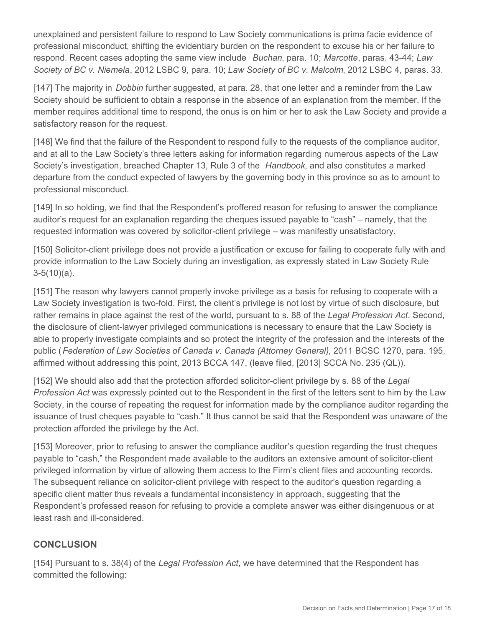unexplained and persistent failure to respond to Law Society communications is prima facie evidence of professional misconduct, shifting the evidentiary burden on the respondent to excuse his or her failure to respond. Recent cases adopting the same view include *Buchan*, para. 10; *Marcotte*, paras. 43-44; *Law Society of BC v. Niemela*, 2012 LSBC 9, para. 10; *Law Society of BC v. Malcolm*, 2012 LSBC 4, paras. 33.

[147] The majority in *Dobbin* further suggested, at para. 28, that one letter and a reminder from the Law Society should be sufficient to obtain a response in the absence of an explanation from the member. If the member requires additional time to respond, the onus is on him or her to ask the Law Society and provide a satisfactory reason for the request.

[148] We find that the failure of the Respondent to respond fully to the requests of the compliance auditor, and at all to the Law Society's three letters asking for information regarding numerous aspects of the Law Society's investigation, breached Chapter 13, Rule 3 of the *Handbook*, and also constitutes a marked departure from the conduct expected of lawyers by the governing body in this province so as to amount to professional misconduct.

[149] In so holding, we find that the Respondent's proffered reason for refusing to answer the compliance auditor's request for an explanation regarding the cheques issued payable to "cash" – namely, that the requested information was covered by solicitor-client privilege – was manifestly unsatisfactory.

[150] Solicitor-client privilege does not provide a justification or excuse for failing to cooperate fully with and provide information to the Law Society during an investigation, as expressly stated in Law Society Rule  $3-5(10)(a)$ .

[151] The reason why lawyers cannot properly invoke privilege as a basis for refusing to cooperate with a Law Society investigation is two-fold. First, the client's privilege is not lost by virtue of such disclosure, but rather remains in place against the rest of the world, pursuant to s. 88 of the *Legal Profession Act*. Second, the disclosure of client-lawyer privileged communications is necessary to ensure that the Law Society is able to properly investigate complaints and so protect the integrity of the profession and the interests of the public (*Federation of Law Societies of Canada v. Canada (Attorney General)*, 2011 BCSC 1270, para. 195, affirmed without addressing this point, 2013 BCCA 147, (leave filed, [2013] SCCA No. 235 (QL)).

[152] We should also add that the protection afforded solicitor-client privilege by s. 88 of the *Legal Profession Act* was expressly pointed out to the Respondent in the first of the letters sent to him by the Law Society, in the course of repeating the request for information made by the compliance auditor regarding the issuance of trust cheques payable to "cash." It thus cannot be said that the Respondent was unaware of the protection afforded the privilege by the Act.

[153] Moreover, prior to refusing to answer the compliance auditor's question regarding the trust cheques payable to "cash," the Respondent made available to the auditors an extensive amount of solicitor-client privileged information by virtue of allowing them access to the Firm's client files and accounting records. The subsequent reliance on solicitor-client privilege with respect to the auditor's question regarding a specific client matter thus reveals a fundamental inconsistency in approach, suggesting that the Respondent's professed reason for refusing to provide a complete answer was either disingenuous or at least rash and ill-considered.

## **CONCLUSION**

[154] Pursuant to s. 38(4) of the *Legal Profession Act*, we have determined that the Respondent has committed the following: